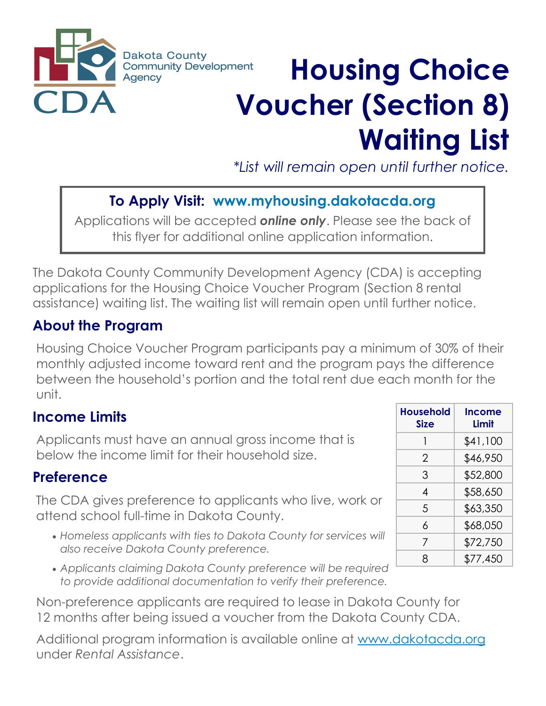

# **Housing Choice Voucher (Section 8) Waiting List**

*\*List will remain open until further notice.*

# **To Apply Visit: www.myhousing.dakotacda.org**

Applications will be accepted *online only*. Please see the back of this flyer for additional online application information.

The Dakota County Community Development Agency (CDA) is accepting applications for the Housing Choice Voucher Program (Section 8 rental assistance) waiting list. The waiting list will remain open until further notice.

## **About the Program**

Housing Choice Voucher Program participants pay a minimum of 30% of their monthly adjusted income toward rent and the program pays the difference between the household's portion and the total rent due each month for the unit.

## **Income Limits**

Applicants must have an annual gross income that is below the income limit for their household size.

#### **Preference**

The CDA gives preference to applicants who live, work or attend school full-time in Dakota County.

- *Homeless applicants with ties to Dakota County for services will also receive Dakota County preference.*
- *Applicants claiming Dakota County preference will be required to provide additional documentation to verify their preference.*

Non-preference applicants are required to lease in Dakota County for 12 months after being issued a voucher from the Dakota County CDA.

Additional program information is available online at www.dakotacda.org under *Rental Assistance*.

| Household<br><b>Size</b> | Income<br>I imit |
|--------------------------|------------------|
| 1                        | \$41,100         |
| 2                        | \$46,950         |
| 3                        | \$52,800         |
| 4                        | \$58,650         |
| 5                        | \$63,350         |
| 6                        | \$68,050         |
| 7                        | \$72,750         |
| 8                        | \$77,450         |